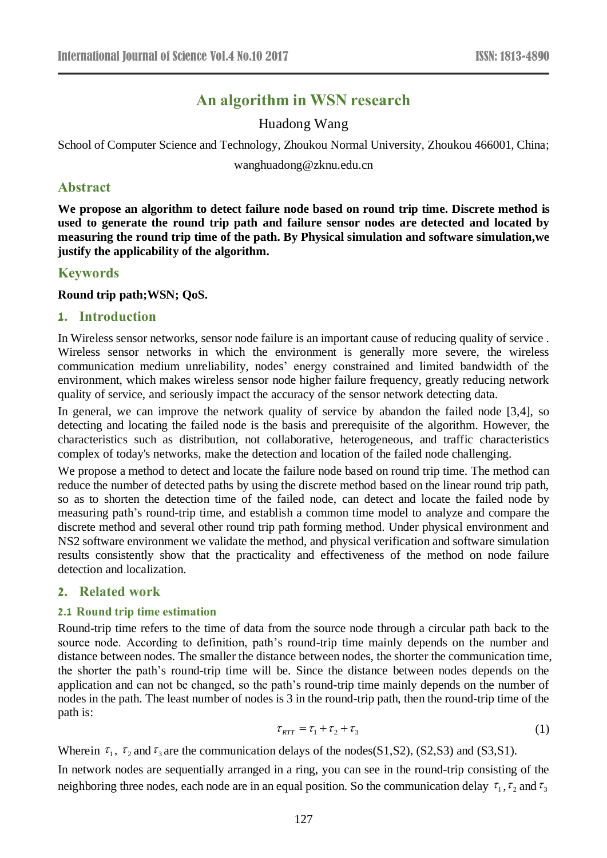# **An algorithm in WSN research**

Huadong Wang

School of Computer Science and Technology, Zhoukou Normal University, Zhoukou 466001, China;

wanghuadong@zknu.edu.cn

# **Abstract**

**We propose an algorithm to detect failure node based on round trip time. Discrete method is used to generate the round trip path and failure sensor nodes are detected and located by measuring the round trip time of the path. By Physical simulation and software simulation,we justify the applicability of the algorithm.**

# **Keywords**

**Round trip path;WSN; QoS.**

## **1. Introduction**

In Wireless sensor networks, sensor node failure is an important cause of reducing quality of service . Wireless sensor networks in which the environment is generally more severe, the wireless communication medium unreliability, nodes' energy constrained and limited bandwidth of the environment, which makes wireless sensor node higher failure frequency, greatly reducing network quality of service, and seriously impact the accuracy of the sensor network detecting data.

In general, we can improve the network quality of service by abandon the failed node [3,4], so detecting and locating the failed node is the basis and prerequisite of the algorithm. However, the characteristics such as distribution, not collaborative, heterogeneous, and traffic characteristics complex of today's networks, make the detection and location of the failed node challenging.

We propose a method to detect and locate the failure node based on round trip time. The method can reduce the number of detected paths by using the discrete method based on the linear round trip path, so as to shorten the detection time of the failed node, can detect and locate the failed node by measuring path's round-trip time, and establish a common time model to analyze and compare the discrete method and several other round trip path forming method. Under physical environment and NS2 software environment we validate the method, and physical verification and software simulation results consistently show that the practicality and effectiveness of the method on node failure detection and localization.

## **2. Related work**

## **2.1 Round trip time estimation**

Round-trip time refers to the time of data from the source node through a circular path back to the source node. According to definition, path's round-trip time mainly depends on the number and distance between nodes. The smaller the distance between nodes, the shorter the communication time, the shorter the path's round-trip time will be. Since the distance between nodes depends on the application and can not be changed, so the path's round-trip time mainly depends on the number of nodes in the path. The least number of nodes is 3 in the round-trip path, then the round-trip time of the path is:

$$
\tau_{RTT} = \tau_1 + \tau_2 + \tau_3 \tag{1}
$$

Wherein  $\tau_1$ ,  $\tau_2$  and  $\tau_3$  are the communication delays of the nodes(S1,S2), (S2,S3) and (S3,S1).

In network nodes are sequentially arranged in a ring, you can see in the round-trip consisting of the neighboring three nodes, each node are in an equal position. So the communication delay  $\tau_1$ ,  $\tau_2$  and  $\tau_3$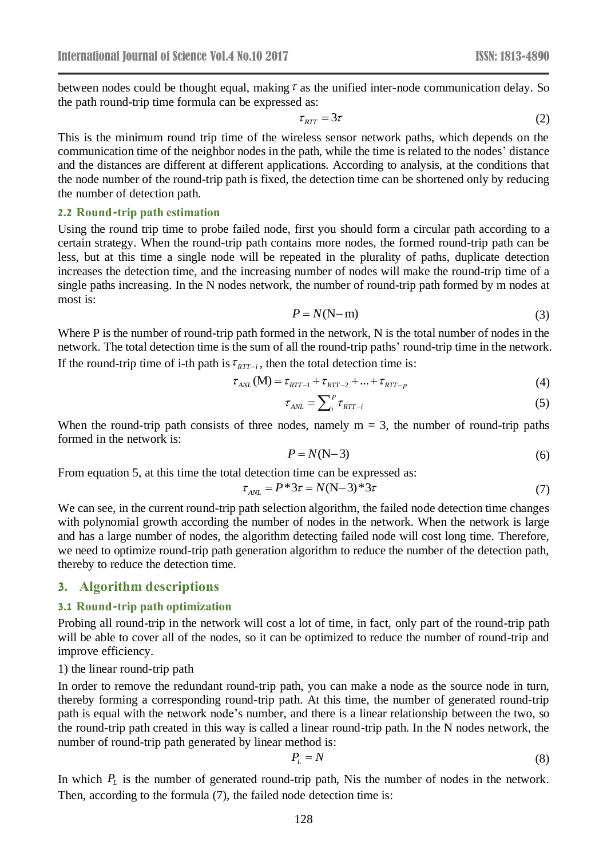between nodes could be thought equal, making  $\tau$  as the unified inter-node communication delay. So the path round-trip time formula can be expressed as:

$$
\tau_{RTT} = 3\tau \tag{2}
$$

This is the minimum round trip time of the wireless sensor network paths, which depends on the communication time of the neighbor nodes in the path, while the time is related to the nodes' distance and the distances are different at different applications. According to analysis, at the conditions that the node number of the round-trip path is fixed, the detection time can be shortened only by reducing the number of detection path.

#### **2.2 Round-trip path estimation**

Using the round trip time to probe failed node, first you should form a circular path according to a certain strategy. When the round-trip path contains more nodes, the formed round-trip path can be less, but at this time a single node will be repeated in the plurality of paths, duplicate detection increases the detection time, and the increasing number of nodes will make the round-trip time of a single paths increasing. In the N nodes network, the number of round-trip path formed by m nodes at most is:

$$
P = N(N-m) \tag{3}
$$

Where P is the number of round-trip path formed in the network, N is the total number of nodes in the network. The total detection time is the sum of all the round-trip paths' round-trip time in the network. If the round-trip time of i-th path is  $\tau_{RTT-i}$ , then the total detection time is:

$$
\tau_{ANL}(M) = \tau_{RTT-1} + \tau_{RTT-2} + ... + \tau_{RTT-p}
$$
(4)

$$
\tau_{\text{ANL}} = \sum_{i}^{p} \tau_{\text{RTT}-i} \tag{5}
$$

When the round-trip path consists of three nodes, namely  $m = 3$ , the number of round-trip paths formed in the network is:

$$
P = N(N-3) \tag{6}
$$

From equation 5, at this time the total detection time can be expressed as:

$$
\tau_{ANL} = P^*3\tau = N(N-3)^*3\tau
$$
\n(7)

We can see, in the current round-trip path selection algorithm, the failed node detection time changes with polynomial growth according the number of nodes in the network. When the network is large and has a large number of nodes, the algorithm detecting failed node will cost long time. Therefore, we need to optimize round-trip path generation algorithm to reduce the number of the detection path, thereby to reduce the detection time.

## **3. Algorithm descriptions**

#### **3.1 Round-trip path optimization**

Probing all round-trip in the network will cost a lot of time, in fact, only part of the round-trip path will be able to cover all of the nodes, so it can be optimized to reduce the number of round-trip and improve efficiency.

#### 1) the linear round-trip path

In order to remove the redundant round-trip path, you can make a node as the source node in turn, thereby forming a corresponding round-trip path. At this time, the number of generated round-trip path is equal with the network node's number, and there is a linear relationship between the two, so the round-trip path created in this way is called a linear round-trip path. In the N nodes network, the number of round-trip path generated by linear method is:

$$
P_L = N \tag{8}
$$

In which  $P_L$  is the number of generated round-trip path, Nis the number of nodes in the network. Then, according to the formula (7), the failed node detection time is: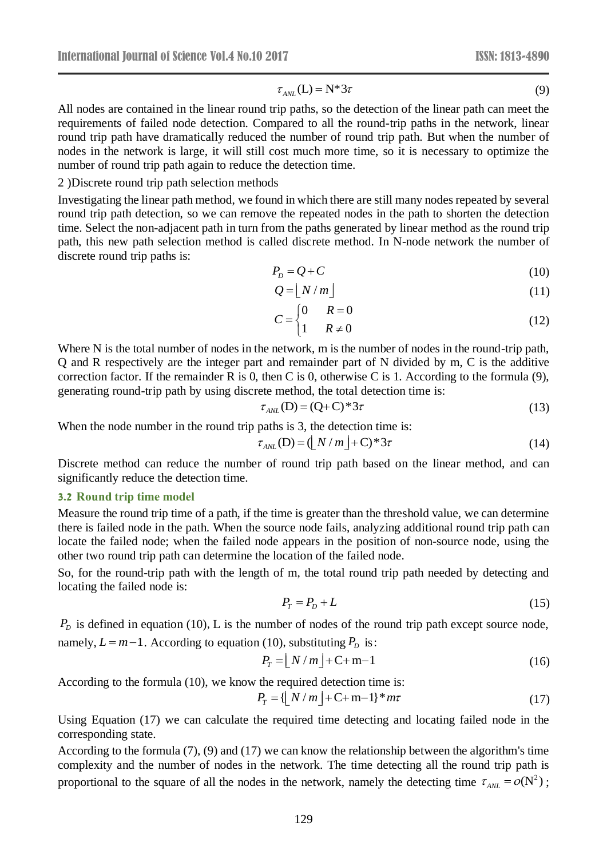$$
r_{\text{AWI}}(L) = N^* 3\tau \tag{9}
$$

 $\tau_{A/2}(1) = N^* 3\tau$  (9)<br>ip paths, so the detection of the linear path can meet the<br>pared to all the round-trip paths in the network, linear<br>pared to all the round-trip paths in the network, linear<br>pared to all the round-t All nodes are contained in the linear round trip paths, so the detection of the linear path can meet the requirements of failed node detection. Compared to all the round-trip paths in the network, linear round trip path have dramatically reduced the number of round trip path. But when the number of nodes in the network is large, it will still cost much more time, so it is necessary to optimize the number of round trip path again to reduce the detection time.

#### 2 )Discrete round trip path selection methods

Investigating the linear path method, we found in which there are still many nodes repeated by several round trip path detection, so we can remove the repeated nodes in the path to shorten the detection time. Select the non-adjacent path in turn from the paths generated by linear method as the round trip path, this new path selection method is called discrete method. In N-node network the number of discrete round trip paths is:

$$
P_D = Q + C \tag{10}
$$

$$
Q = \lfloor N/m \rfloor \tag{11}
$$

$$
C = \begin{cases} 0 & R = 0 \\ 1 & R \neq 0 \end{cases}
$$
 (12)

Where N is the total number of nodes in the network, m is the number of nodes in the round-trip path, Q and R respectively are the integer part and remainder part of N divided by m, C is the additive correction factor. If the remainder R is 0, then C is 0, otherwise C is 1. According to the formula (9), generating round-trip path by using discrete method, the total detection time is:

$$
\tau_{\text{ANL}}(\mathbf{D}) = (\mathbf{Q} + \mathbf{C})^* 3\tau \tag{13}
$$

When the node number in the round trip paths is 3, the detection time is:

$$
\tau_{\text{ANL}}(\mathbf{D}) = (\lfloor N/m \rfloor + \mathbf{C})^* 3\tau \tag{14}
$$

Discrete method can reduce the number of round trip path based on the linear method, and can significantly reduce the detection time.

#### **3.2 Round trip time model**

Measure the round trip time of a path, if the time is greater than the threshold value, we can determine there is failed node in the path. When the source node fails, analyzing additional round trip path can locate the failed node; when the failed node appears in the position of non-source node, using the other two round trip path can determine the location of the failed node.

So, for the round-trip path with the length of m, the total round trip path needed by detecting and locating the failed node is:

$$
P_T = P_D + L \tag{15}
$$

 $P<sub>D</sub>$  is defined in equation (10), L is the number of nodes of the round trip path except source node, namely,  $L = m - 1$ . According to equation (10), substituting  $P_D$  is:

$$
P_T = \lfloor N/m \rfloor + \text{C} + \text{m} - 1 \tag{16}
$$

According to the formula (10), we know the required detection time is:

$$
P_T = \left\{ \lfloor N/m \rfloor + \text{C} + \text{m} - 1 \right\}^* m \tau \tag{17}
$$

Using Equation (17) we can calculate the required time detecting and locating failed node in the corresponding state.

According to the formula (7), (9) and (17) we can know the relationship between the algorithm's time complexity and the number of nodes in the network. The time detecting all the round trip path is proportional to the square of all the nodes in the network, namely the detecting time  $\tau_{ANL} = o(N^2)$ ;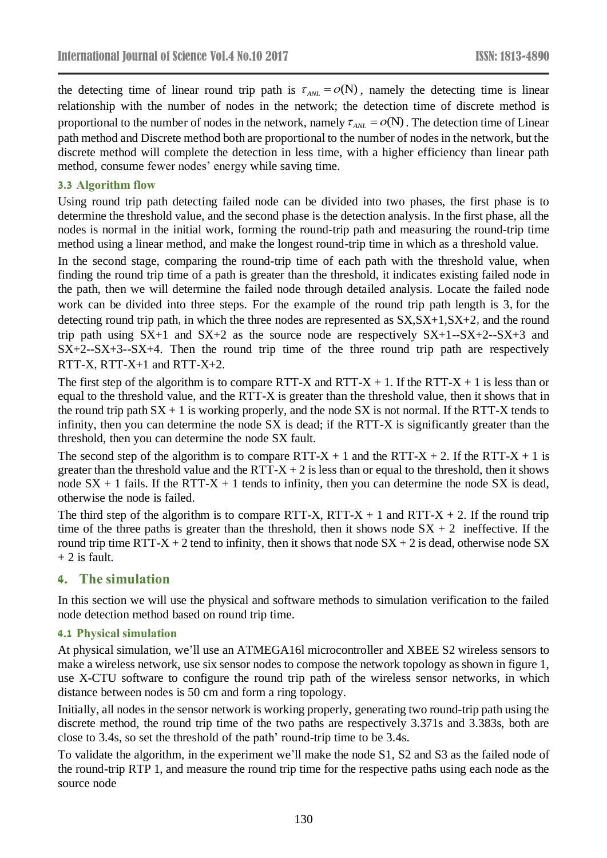the detecting time of linear round trip path is  $\tau_{ANL} = o(N)$ , namely the detecting time is linear relationship with the number of nodes in the network; the detection time of discrete method is proportional to the number of nodes in the network, namely  $\tau_{ANL} = o(N)$ . The detection time of Linear path method and Discrete method both are proportional to the number of nodes in the network, but the discrete method will complete the detection in less time, with a higher efficiency than linear path method, consume fewer nodes' energy while saving time.

# **3.3 Algorithm flow**

Using round trip path detecting failed node can be divided into two phases, the first phase is to determine the threshold value, and the second phase is the detection analysis. In the first phase, all the nodes is normal in the initial work, forming the round-trip path and measuring the round-trip time method using a linear method, and make the longest round-trip time in which as a threshold value.

In the second stage, comparing the round-trip time of each path with the threshold value, when finding the round trip time of a path is greater than the threshold, it indicates existing failed node in the path, then we will determine the failed node through detailed analysis. Locate the failed node work can be divided into three steps. For the example of the round trip path length is 3, for the detecting round trip path, in which the three nodes are represented as  $SX$ ,  $SX+1$ ,  $SX+2$ , and the round trip path using  $SX+1$  and  $SX+2$  as the source node are respectively  $SX+1-SX+2-SX+3$  and  $SX+2-SX+3-SX+4$ . Then the round trip time of the three round trip path are respectively RTT-X, RTT-X+1 and RTT-X+2.

The first step of the algorithm is to compare RTT-X and RTT-X  $+ 1$ . If the RTT-X  $+ 1$  is less than or equal to the threshold value, and the RTT-X is greater than the threshold value, then it shows that in the round trip path  $SX + 1$  is working properly, and the node SX is not normal. If the RTT-X tends to infinity, then you can determine the node SX is dead; if the RTT-X is significantly greater than the threshold, then you can determine the node SX fault.

The second step of the algorithm is to compare RTT-X + 1 and the RTT-X + 2. If the RTT-X + 1 is greater than the threshold value and the RTT- $X + 2$  is less than or equal to the threshold, then it shows node  $SX + 1$  fails. If the RTT-X + 1 tends to infinity, then you can determine the node SX is dead, otherwise the node is failed.

The third step of the algorithm is to compare RTT-X, RTT-X + 1 and RTT-X + 2. If the round trip time of the three paths is greater than the threshold, then it shows node  $SX + 2$  ineffective. If the round trip time RTT-X + 2 tend to infinity, then it shows that node  $SX + 2$  is dead, otherwise node SX  $+ 2$  is fault.

# **4. The simulation**

In this section we will use the physical and software methods to simulation verification to the failed node detection method based on round trip time.

## **4.1 Physical simulation**

At physical simulation, we'll use an ATMEGA16l microcontroller and XBEE S2 wireless sensors to make a wireless network, use six sensor nodes to compose the network topology as shown in figure 1, use X-CTU software to configure the round trip path of the wireless sensor networks, in which distance between nodes is 50 cm and form a ring topology.

Initially, all nodes in the sensor network is working properly, generating two round-trip path using the discrete method, the round trip time of the two paths are respectively 3.371s and 3.383s, both are close to 3.4s, so set the threshold of the path' round-trip time to be 3.4s.

To validate the algorithm, in the experiment we'll make the node S1, S2 and S3 as the failed node of the round-trip RTP 1, and measure the round trip time for the respective paths using each node as the source node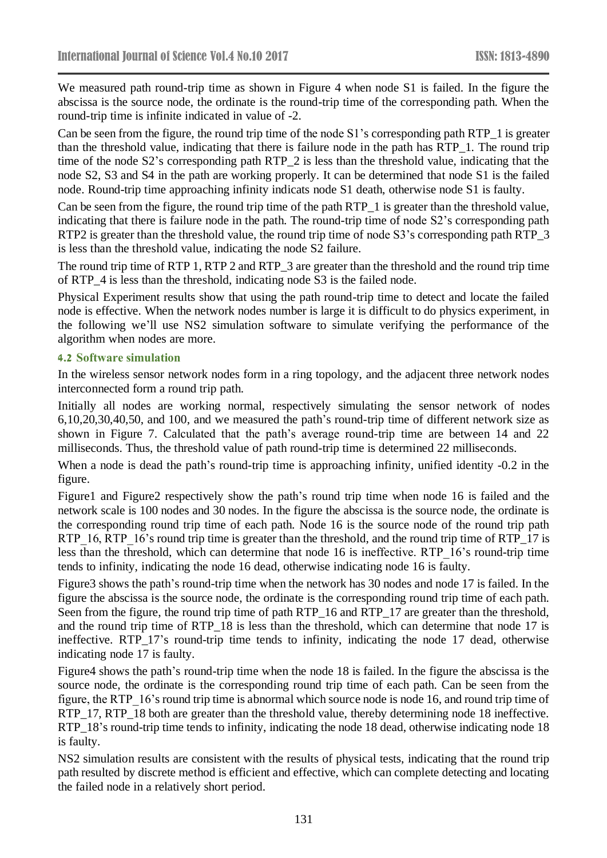We measured path round-trip time as shown in Figure 4 when node S1 is failed. In the figure the abscissa is the source node, the ordinate is the round-trip time of the corresponding path. When the round-trip time is infinite indicated in value of -2.

Can be seen from the figure, the round trip time of the node S1's corresponding path RTP 1 is greater than the threshold value, indicating that there is failure node in the path has RTP\_1. The round trip time of the node S2's corresponding path RTP\_2 is less than the threshold value, indicating that the node S2, S3 and S4 in the path are working properly. It can be determined that node S1 is the failed node. Round-trip time approaching infinity indicats node S1 death, otherwise node S1 is faulty.

Can be seen from the figure, the round trip time of the path RTP 1 is greater than the threshold value, indicating that there is failure node in the path. The round-trip time of node S2's corresponding path RTP2 is greater than the threshold value, the round trip time of node S3's corresponding path RTP\_3 is less than the threshold value, indicating the node S2 failure.

The round trip time of RTP 1, RTP 2 and RTP\_3 are greater than the threshold and the round trip time of RTP\_4 is less than the threshold, indicating node S3 is the failed node.

Physical Experiment results show that using the path round-trip time to detect and locate the failed node is effective. When the network nodes number is large it is difficult to do physics experiment, in the following we'll use NS2 simulation software to simulate verifying the performance of the algorithm when nodes are more.

## **4.2 Software simulation**

In the wireless sensor network nodes form in a ring topology, and the adjacent three network nodes interconnected form a round trip path.

Initially all nodes are working normal, respectively simulating the sensor network of nodes 6,10,20,30,40,50, and 100, and we measured the path's round-trip time of different network size as shown in Figure 7. Calculated that the path's average round-trip time are between 14 and 22 milliseconds. Thus, the threshold value of path round-trip time is determined 22 milliseconds.

When a node is dead the path's round-trip time is approaching infinity, unified identity  $-0.2$  in the figure.

Figure1 and Figure2 respectively show the path's round trip time when node 16 is failed and the network scale is 100 nodes and 30 nodes. In the figure the abscissa is the source node, the ordinate is the corresponding round trip time of each path. Node 16 is the source node of the round trip path RTP 16, RTP 16's round trip time is greater than the threshold, and the round trip time of RTP\_17 is less than the threshold, which can determine that node 16 is ineffective. RTP\_16's round-trip time tends to infinity, indicating the node 16 dead, otherwise indicating node 16 is faulty.

Figure3 shows the path's round-trip time when the network has 30 nodes and node 17 is failed. In the figure the abscissa is the source node, the ordinate is the corresponding round trip time of each path. Seen from the figure, the round trip time of path RTP\_16 and RTP\_17 are greater than the threshold, and the round trip time of RTP\_18 is less than the threshold, which can determine that node 17 is ineffective. RTP\_17's round-trip time tends to infinity, indicating the node 17 dead, otherwise indicating node 17 is faulty.

Figure4 shows the path's round-trip time when the node 18 is failed. In the figure the abscissa is the source node, the ordinate is the corresponding round trip time of each path. Can be seen from the figure, the RTP\_16's round trip time is abnormal which source node is node 16, and round trip time of RTP\_17, RTP\_18 both are greater than the threshold value, thereby determining node 18 ineffective. RTP\_18's round-trip time tends to infinity, indicating the node 18 dead, otherwise indicating node 18 is faulty.

NS2 simulation results are consistent with the results of physical tests, indicating that the round trip path resulted by discrete method is efficient and effective, which can complete detecting and locating the failed node in a relatively short period.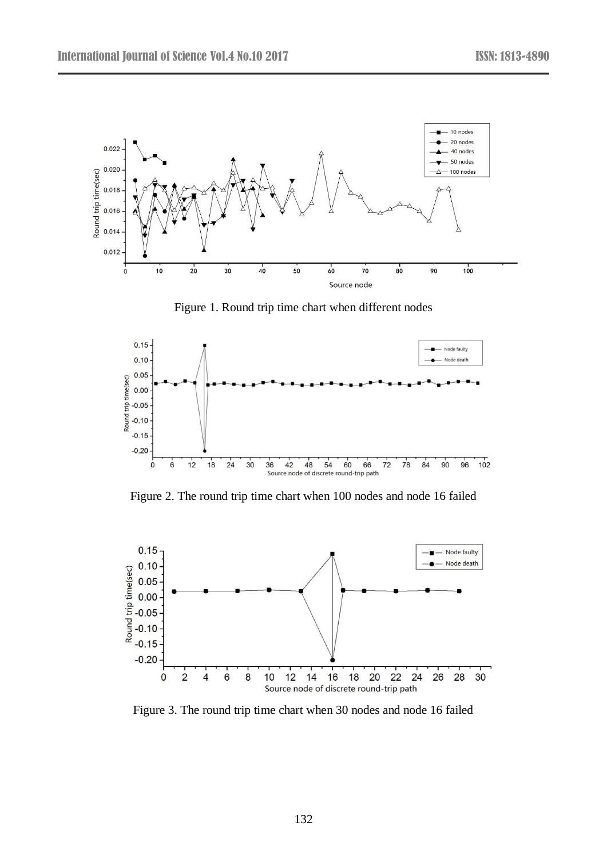

Figure 1. Round trip time chart when different nodes



Figure 2. The round trip time chart when 100 nodes and node 16 failed



Figure 3. The round trip time chart when 30 nodes and node 16 failed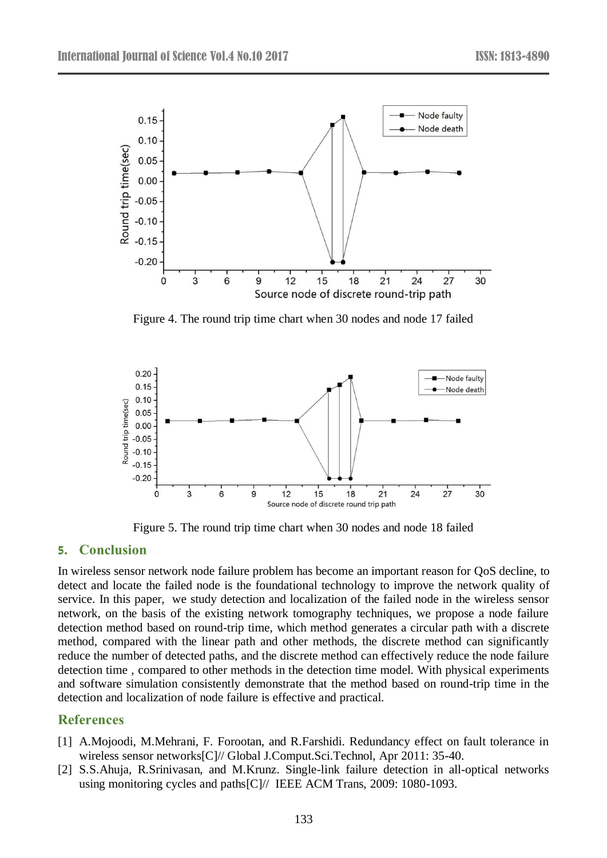

Figure 4. The round trip time chart when 30 nodes and node 17 failed



Figure 5. The round trip time chart when 30 nodes and node 18 failed

# **5. Conclusion**

In wireless sensor network node failure problem has become an important reason for QoS decline, to detect and locate the failed node is the foundational technology to improve the network quality of service. In this paper, we study detection and localization of the failed node in the wireless sensor network, on the basis of the existing network tomography techniques, we propose a node failure detection method based on round-trip time, which method generates a circular path with a discrete method, compared with the linear path and other methods, the discrete method can significantly reduce the number of detected paths, and the discrete method can effectively reduce the node failure detection time , compared to other methods in the detection time model. With physical experiments and software simulation consistently demonstrate that the method based on round-trip time in the detection and localization of node failure is effective and practical.

# **References**

- [1] A.Mojoodi, M.Mehrani, F. Forootan, and R.Farshidi. Redundancy effect on fault tolerance in wireless sensor networks[C]// Global J.Comput.Sci.Technol, Apr 2011: 35-40.
- [2] S.S.Ahuja, R.Srinivasan, and M.Krunz. Single-link failure detection in all-optical networks using monitoring cycles and paths[C]// IEEE ACM Trans, 2009: 1080-1093.